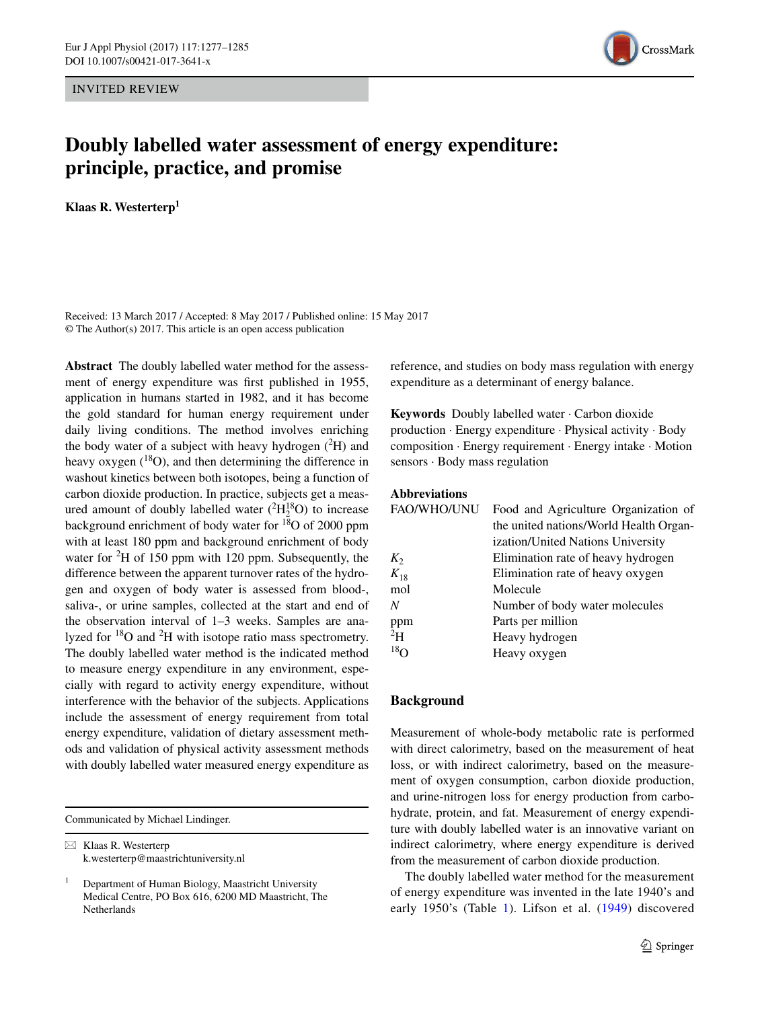INVITED REVIEW



# **Doubly labelled water assessment of energy expenditure: principle, practice, and promise**

**Klaas R. Westerterp1**

Received: 13 March 2017 / Accepted: 8 May 2017 / Published online: 15 May 2017 © The Author(s) 2017. This article is an open access publication

**Abstract** The doubly labelled water method for the assessment of energy expenditure was frst published in 1955, application in humans started in 1982, and it has become the gold standard for human energy requirement under daily living conditions. The method involves enriching the body water of a subject with heavy hydrogen  $(^{2}H)$  and heavy oxygen  $(^{18}O)$ , and then determining the difference in washout kinetics between both isotopes, being a function of carbon dioxide production. In practice, subjects get a measured amount of doubly labelled water  $(^{2}H_{2}^{18}O)$  to increase background enrichment of body water for  $18$ O of 2000 ppm with at least 180 ppm and background enrichment of body water for  ${}^{2}H$  of 150 ppm with 120 ppm. Subsequently, the difference between the apparent turnover rates of the hydrogen and oxygen of body water is assessed from blood-, saliva-, or urine samples, collected at the start and end of the observation interval of 1–3 weeks. Samples are analyzed for  $^{18}O$  and  $^{2}H$  with isotope ratio mass spectrometry. The doubly labelled water method is the indicated method to measure energy expenditure in any environment, especially with regard to activity energy expenditure, without interference with the behavior of the subjects. Applications include the assessment of energy requirement from total energy expenditure, validation of dietary assessment methods and validation of physical activity assessment methods with doubly labelled water measured energy expenditure as

Communicated by Michael Lindinger.

 $\boxtimes$  Klaas R. Westerterp k.westerterp@maastrichtuniversity.nl reference, and studies on body mass regulation with energy expenditure as a determinant of energy balance.

**Keywords** Doubly labelled water · Carbon dioxide production · Energy expenditure · Physical activity · Body composition · Energy requirement · Energy intake · Motion sensors · Body mass regulation

# **Abbreviations**

| <b>FAO/WHO/UNU</b> | Food and Agriculture Organization of   |  |  |
|--------------------|----------------------------------------|--|--|
|                    | the united nations/World Health Organ- |  |  |
|                    | ization/United Nations University      |  |  |
| $K_2$              | Elimination rate of heavy hydrogen     |  |  |
| $K_{18}$           | Elimination rate of heavy oxygen       |  |  |
| mol                | Molecule                               |  |  |
| N                  | Number of body water molecules         |  |  |
| ppm                | Parts per million                      |  |  |
| 2H                 | Heavy hydrogen                         |  |  |
| $^{18}$ O          | Heavy oxygen                           |  |  |

# **Background**

Measurement of whole-body metabolic rate is performed with direct calorimetry, based on the measurement of heat loss, or with indirect calorimetry, based on the measurement of oxygen consumption, carbon dioxide production, and urine-nitrogen loss for energy production from carbohydrate, protein, and fat. Measurement of energy expenditure with doubly labelled water is an innovative variant on indirect calorimetry, where energy expenditure is derived from the measurement of carbon dioxide production.

The doubly labelled water method for the measurement of energy expenditure was invented in the late 1940's and early 1950's (Table [1](#page-1-0)). Lifson et al. [\(1949\)](#page-7-0) discovered

<sup>1</sup> Department of Human Biology, Maastricht University Medical Centre, PO Box 616, 6200 MD Maastricht, The Netherlands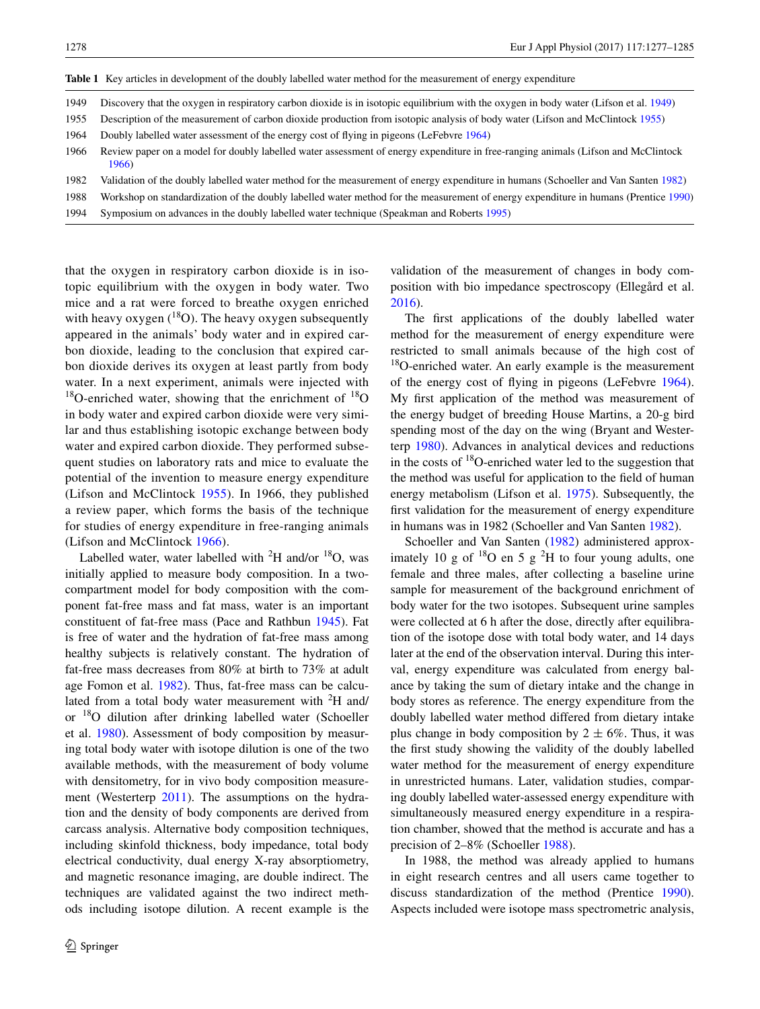<span id="page-1-0"></span>

|  |  | Table 1 Key articles in development of the doubly labelled water method for the measurement of energy expenditure |
|--|--|-------------------------------------------------------------------------------------------------------------------|
|  |  |                                                                                                                   |

- 1949 Discovery that the oxygen in respiratory carbon dioxide is in isotopic equilibrium with the oxygen in body water (Lifson et al. [1949\)](#page-7-0)
- 1955 Description of the measurement of carbon dioxide production from isotopic analysis of body water (Lifson and McClintock [1955\)](#page-7-1)
- 1964 Doubly labelled water assessment of the energy cost of fying in pigeons (LeFebvre [1964\)](#page-7-6)
- 1966 Review paper on a model for doubly labelled water assessment of energy expenditure in free-ranging animals (Lifson and McClintock [1966\)](#page-7-2)
- 1982 Validation of the doubly labelled water method for the measurement of energy expenditure in humans (Schoeller and Van Santen [1982](#page-8-2))
- 1988 Workshop on standardization of the doubly labelled water method for the measurement of energy expenditure in humans (Prentice [1990\)](#page-7-10)
- 1994 Symposium on advances in the doubly labelled water technique (Speakman and Roberts [1995\)](#page-8-3)

that the oxygen in respiratory carbon dioxide is in isotopic equilibrium with the oxygen in body water. Two mice and a rat were forced to breathe oxygen enriched with heavy oxygen  $(^{18}O)$ . The heavy oxygen subsequently appeared in the animals' body water and in expired carbon dioxide, leading to the conclusion that expired carbon dioxide derives its oxygen at least partly from body water. In a next experiment, animals were injected with  $18$ O-enriched water, showing that the enrichment of  $18$ O in body water and expired carbon dioxide were very similar and thus establishing isotopic exchange between body water and expired carbon dioxide. They performed subsequent studies on laboratory rats and mice to evaluate the potential of the invention to measure energy expenditure (Lifson and McClintock [1955\)](#page-7-1). In 1966, they published a review paper, which forms the basis of the technique for studies of energy expenditure in free-ranging animals (Lifson and McClintock [1966\)](#page-7-2).

Labelled water, water labelled with  ${}^{2}H$  and/or  ${}^{18}O$ , was initially applied to measure body composition. In a twocompartment model for body composition with the component fat-free mass and fat mass, water is an important constituent of fat-free mass (Pace and Rathbun [1945](#page-7-3)). Fat is free of water and the hydration of fat-free mass among healthy subjects is relatively constant. The hydration of fat-free mass decreases from 80% at birth to 73% at adult age Fomon et al. [1982\)](#page-7-4). Thus, fat-free mass can be calculated from a total body water measurement with  ${}^{2}H$  and/ or 18O dilution after drinking labelled water (Schoeller et al. [1980](#page-8-0)). Assessment of body composition by measuring total body water with isotope dilution is one of the two available methods, with the measurement of body volume with densitometry, for in vivo body composition measure-ment (Westerterp [2011\)](#page-8-1). The assumptions on the hydration and the density of body components are derived from carcass analysis. Alternative body composition techniques, including skinfold thickness, body impedance, total body electrical conductivity, dual energy X-ray absorptiometry, and magnetic resonance imaging, are double indirect. The techniques are validated against the two indirect methods including isotope dilution. A recent example is the

validation of the measurement of changes in body composition with bio impedance spectroscopy (Ellegård et al. [2016](#page-7-5)).

The frst applications of the doubly labelled water method for the measurement of energy expenditure were restricted to small animals because of the high cost of <sup>18</sup>O-enriched water. An early example is the measurement of the energy cost of fying in pigeons (LeFebvre [1964](#page-7-6)). My frst application of the method was measurement of the energy budget of breeding House Martins, a 20-g bird spending most of the day on the wing (Bryant and Westerterp [1980](#page-7-7)). Advances in analytical devices and reductions in the costs of  $^{18}$ O-enriched water led to the suggestion that the method was useful for application to the feld of human energy metabolism (Lifson et al. [1975\)](#page-7-8). Subsequently, the frst validation for the measurement of energy expenditure in humans was in 1982 (Schoeller and Van Santen [1982\)](#page-8-2).

Schoeller and Van Santen ([1982\)](#page-8-2) administered approximately 10 g of  $^{18}$ O en 5 g  $^{2}$ H to four young adults, one female and three males, after collecting a baseline urine sample for measurement of the background enrichment of body water for the two isotopes. Subsequent urine samples were collected at 6 h after the dose, directly after equilibration of the isotope dose with total body water, and 14 days later at the end of the observation interval. During this interval, energy expenditure was calculated from energy balance by taking the sum of dietary intake and the change in body stores as reference. The energy expenditure from the doubly labelled water method differed from dietary intake plus change in body composition by  $2 \pm 6\%$ . Thus, it was the frst study showing the validity of the doubly labelled water method for the measurement of energy expenditure in unrestricted humans. Later, validation studies, comparing doubly labelled water-assessed energy expenditure with simultaneously measured energy expenditure in a respiration chamber, showed that the method is accurate and has a precision of 2–8% (Schoeller [1988\)](#page-7-9).

In 1988, the method was already applied to humans in eight research centres and all users came together to discuss standardization of the method (Prentice [1990](#page-7-10)). Aspects included were isotope mass spectrometric analysis,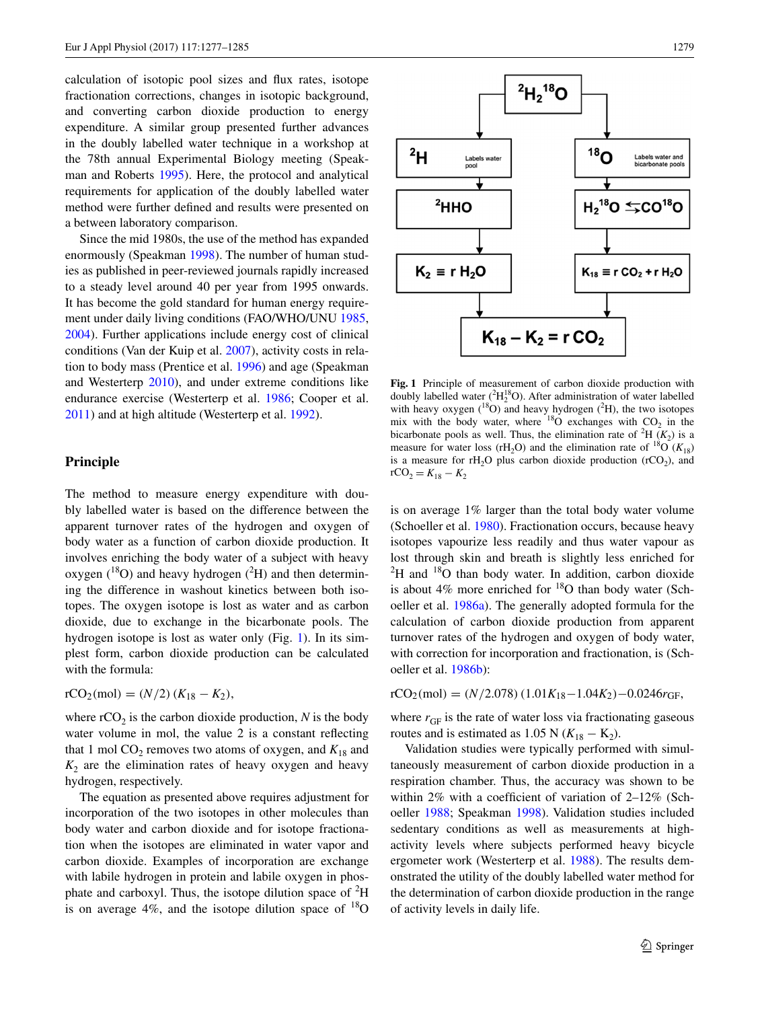calculation of isotopic pool sizes and fux rates, isotope fractionation corrections, changes in isotopic background, and converting carbon dioxide production to energy expenditure. A similar group presented further advances in the doubly labelled water technique in a workshop at the 78th annual Experimental Biology meeting (Speakman and Roberts [1995\)](#page-8-3). Here, the protocol and analytical requirements for application of the doubly labelled water method were further defned and results were presented on a between laboratory comparison.

Since the mid 1980s, the use of the method has expanded enormously (Speakman [1998\)](#page-8-4). The number of human studies as published in peer-reviewed journals rapidly increased to a steady level around 40 per year from 1995 onwards. It has become the gold standard for human energy requirement under daily living conditions (FAO/WHO/UNU [1985,](#page-7-11) [2004](#page-7-12)). Further applications include energy cost of clinical conditions (Van der Kuip et al. [2007\)](#page-8-5), activity costs in relation to body mass (Prentice et al. [1996\)](#page-7-13) and age (Speakman and Westerterp [2010\)](#page-8-6), and under extreme conditions like endurance exercise (Westerterp et al. [1986;](#page-8-7) Cooper et al. [2011](#page-7-14)) and at high altitude (Westerterp et al. [1992](#page-8-8)).

# **Principle**

The method to measure energy expenditure with doubly labelled water is based on the difference between the apparent turnover rates of the hydrogen and oxygen of body water as a function of carbon dioxide production. It involves enriching the body water of a subject with heavy oxygen  $(^{18}O)$  and heavy hydrogen  $(^{2}H)$  and then determining the difference in washout kinetics between both isotopes. The oxygen isotope is lost as water and as carbon dioxide, due to exchange in the bicarbonate pools. The hydrogen isotope is lost as water only (Fig. [1\)](#page-2-0). In its simplest form, carbon dioxide production can be calculated with the formula:

$$
rCO_2(mol) = (N/2) (K_{18} - K_2),
$$

where  $rCO<sub>2</sub>$  is the carbon dioxide production, *N* is the body water volume in mol, the value 2 is a constant refecting that 1 mol  $CO_2$  removes two atoms of oxygen, and  $K_{18}$  and  $K<sub>2</sub>$  are the elimination rates of heavy oxygen and heavy hydrogen, respectively.

The equation as presented above requires adjustment for incorporation of the two isotopes in other molecules than body water and carbon dioxide and for isotope fractionation when the isotopes are eliminated in water vapor and carbon dioxide. Examples of incorporation are exchange with labile hydrogen in protein and labile oxygen in phosphate and carboxyl. Thus, the isotope dilution space of  ${}^{2}H$ is on average  $4\%$ , and the isotope dilution space of  $^{18}O$ 



<span id="page-2-0"></span>**Fig. 1** Principle of measurement of carbon dioxide production with doubly labelled water  $(^{2}H_{2}^{18}O)$ . After administration of water labelled with heavy oxygen  $(^{18}O)$  and heavy hydrogen  $(^{2}H)$ , the two isotopes mix with the body water, where  $^{18}$ O exchanges with CO<sub>2</sub> in the bicarbonate pools as well. Thus, the elimination rate of <sup>2</sup>H  $(K_2)$  is a measure for water loss (rH<sub>2</sub>O) and the elimination rate of <sup>18</sup>O ( $K_{18}$ ) is a measure for  $rH_2O$  plus carbon dioxide production ( $rCO_2$ ), and  $rCO_2 = K_{18} - K_2$ 

is on average 1% larger than the total body water volume (Schoeller et al. [1980](#page-8-0)). Fractionation occurs, because heavy isotopes vapourize less readily and thus water vapour as lost through skin and breath is slightly less enriched for  ${}^{2}$ H and  ${}^{18}$ O than body water. In addition, carbon dioxide is about 4% more enriched for  $^{18}$ O than body water (Schoeller et al. [1986a\)](#page-8-9). The generally adopted formula for the calculation of carbon dioxide production from apparent turnover rates of the hydrogen and oxygen of body water, with correction for incorporation and fractionation, is (Schoeller et al. [1986b](#page-8-10)):

$$
rCO_2(mol) = (N/2.078) (1.01K_{18} - 1.04K_2) - 0.0246r_{GF},
$$

where  $r_{\text{GF}}$  is the rate of water loss via fractionating gaseous routes and is estimated as 1.05 N ( $K_{18} - K_2$ ).

Validation studies were typically performed with simultaneously measurement of carbon dioxide production in a respiration chamber. Thus, the accuracy was shown to be within 2% with a coefficient of variation of  $2\n-12\%$  (Schoeller [1988;](#page-7-9) Speakman [1998](#page-8-4)). Validation studies included sedentary conditions as well as measurements at highactivity levels where subjects performed heavy bicycle ergometer work (Westerterp et al. [1988\)](#page-8-11). The results demonstrated the utility of the doubly labelled water method for the determination of carbon dioxide production in the range of activity levels in daily life.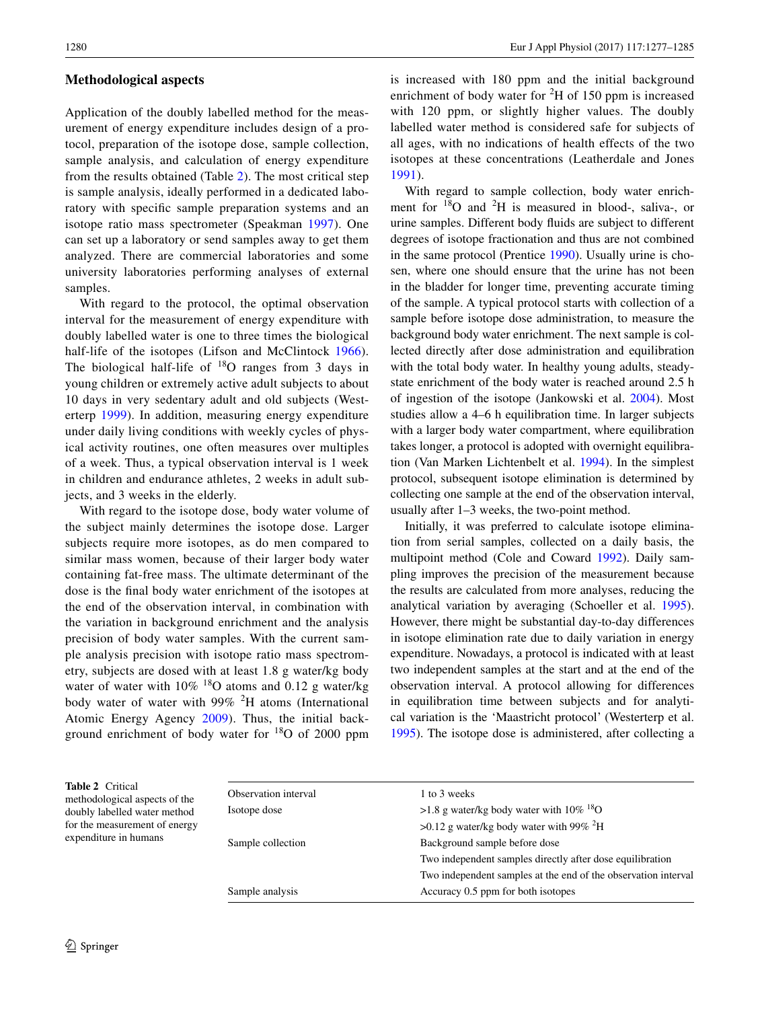# **Methodological aspects**

Application of the doubly labelled method for the measurement of energy expenditure includes design of a protocol, preparation of the isotope dose, sample collection, sample analysis, and calculation of energy expenditure from the results obtained (Table [2](#page-3-0)). The most critical step is sample analysis, ideally performed in a dedicated laboratory with specifc sample preparation systems and an isotope ratio mass spectrometer (Speakman [1997\)](#page-8-12). One can set up a laboratory or send samples away to get them analyzed. There are commercial laboratories and some university laboratories performing analyses of external samples.

With regard to the protocol, the optimal observation interval for the measurement of energy expenditure with doubly labelled water is one to three times the biological half-life of the isotopes (Lifson and McClintock [1966](#page-7-2)). The biological half-life of  $18$ O ranges from 3 days in young children or extremely active adult subjects to about 10 days in very sedentary adult and old subjects (Westerterp [1999\)](#page-8-13). In addition, measuring energy expenditure under daily living conditions with weekly cycles of physical activity routines, one often measures over multiples of a week. Thus, a typical observation interval is 1 week in children and endurance athletes, 2 weeks in adult subjects, and 3 weeks in the elderly.

With regard to the isotope dose, body water volume of the subject mainly determines the isotope dose. Larger subjects require more isotopes, as do men compared to similar mass women, because of their larger body water containing fat-free mass. The ultimate determinant of the dose is the fnal body water enrichment of the isotopes at the end of the observation interval, in combination with the variation in background enrichment and the analysis precision of body water samples. With the current sample analysis precision with isotope ratio mass spectrometry, subjects are dosed with at least 1.8 g water/kg body water of water with  $10\%$  <sup>18</sup>O atoms and 0.12 g water/kg body water of water with  $99\%$  <sup>2</sup>H atoms (International Atomic Energy Agency [2009](#page-7-15)). Thus, the initial background enrichment of body water for  $18$ O of 2000 ppm

is increased with 180 ppm and the initial background enrichment of body water for  ${}^{2}H$  of 150 ppm is increased with 120 ppm, or slightly higher values. The doubly labelled water method is considered safe for subjects of all ages, with no indications of health effects of the two isotopes at these concentrations (Leatherdale and Jones [1991\)](#page-7-16).

With regard to sample collection, body water enrichment for  $18$ O and  $2$ H is measured in blood-, saliva-, or urine samples. Different body fuids are subject to different degrees of isotope fractionation and thus are not combined in the same protocol (Prentice [1990\)](#page-7-10). Usually urine is chosen, where one should ensure that the urine has not been in the bladder for longer time, preventing accurate timing of the sample. A typical protocol starts with collection of a sample before isotope dose administration, to measure the background body water enrichment. The next sample is collected directly after dose administration and equilibration with the total body water. In healthy young adults, steadystate enrichment of the body water is reached around 2.5 h of ingestion of the isotope (Jankowski et al. [2004\)](#page-7-17). Most studies allow a 4–6 h equilibration time. In larger subjects with a larger body water compartment, where equilibration takes longer, a protocol is adopted with overnight equilibration (Van Marken Lichtenbelt et al. [1994](#page-8-14)). In the simplest protocol, subsequent isotope elimination is determined by collecting one sample at the end of the observation interval, usually after 1–3 weeks, the two-point method.

Initially, it was preferred to calculate isotope elimination from serial samples, collected on a daily basis, the multipoint method (Cole and Coward [1992\)](#page-7-18). Daily sampling improves the precision of the measurement because the results are calculated from more analyses, reducing the analytical variation by averaging (Schoeller et al. [1995](#page-8-15)). However, there might be substantial day-to-day differences in isotope elimination rate due to daily variation in energy expenditure. Nowadays, a protocol is indicated with at least two independent samples at the start and at the end of the observation interval. A protocol allowing for differences in equilibration time between subjects and for analytical variation is the 'Maastricht protocol' (Westerterp et al. [1995](#page-8-16)). The isotope dose is administered, after collecting a

<span id="page-3-0"></span>

| <b>Table 2</b> Critical<br>methodological aspects of the<br>doubly labelled water method<br>for the measurement of energy<br>expenditure in humans | Observation interval<br>Isotope dose | 1 to 3 weeks<br>>1.8 g water/kg body water with $10\%$ <sup>18</sup> O<br>$>0.12$ g water/kg body water with 99% <sup>2</sup> H |
|----------------------------------------------------------------------------------------------------------------------------------------------------|--------------------------------------|---------------------------------------------------------------------------------------------------------------------------------|
|                                                                                                                                                    | Sample collection                    | Background sample before dose                                                                                                   |
|                                                                                                                                                    |                                      | Two independent samples directly after dose equilibration                                                                       |
|                                                                                                                                                    |                                      | Two independent samples at the end of the observation interval                                                                  |
|                                                                                                                                                    | Sample analysis                      | Accuracy 0.5 ppm for both isotopes                                                                                              |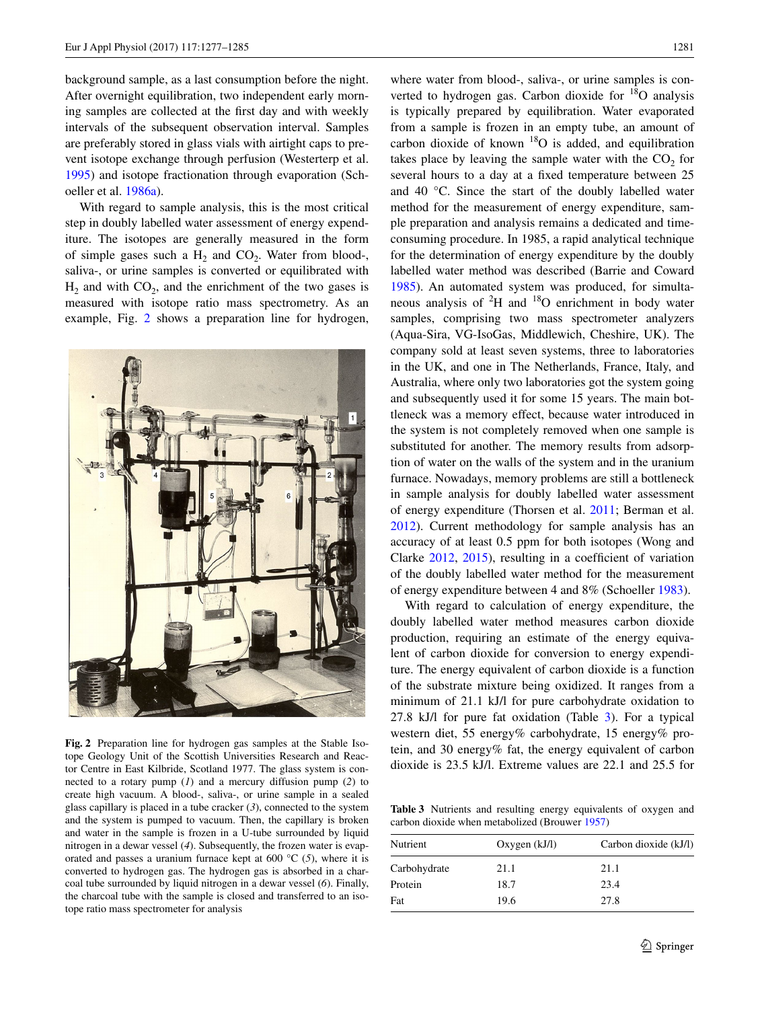background sample, as a last consumption before the night. After overnight equilibration, two independent early morning samples are collected at the frst day and with weekly intervals of the subsequent observation interval. Samples are preferably stored in glass vials with airtight caps to prevent isotope exchange through perfusion (Westerterp et al. [1995](#page-8-16)) and isotope fractionation through evaporation (Schoeller et al. [1986a\)](#page-8-9).

With regard to sample analysis, this is the most critical step in doubly labelled water assessment of energy expenditure. The isotopes are generally measured in the form of simple gases such a  $H_2$  and  $CO_2$ . Water from blood-, saliva-, or urine samples is converted or equilibrated with  $H_2$  and with  $CO_2$ , and the enrichment of the two gases is measured with isotope ratio mass spectrometry. As an example, Fig. [2](#page-4-0) shows a preparation line for hydrogen,



**Fig. 2** Preparation line for hydrogen gas samples at the Stable Isotope Geology Unit of the Scottish Universities Research and Reactor Centre in East Kilbride, Scotland 1977. The glass system is connected to a rotary pump (*1*) and a mercury diffusion pump (*2*) to create high vacuum. A blood-, saliva-, or urine sample in a sealed glass capillary is placed in a tube cracker (*3*), connected to the system and the system is pumped to vacuum. Then, the capillary is broken and water in the sample is frozen in a U-tube surrounded by liquid nitrogen in a dewar vessel (*4*). Subsequently, the frozen water is evaporated and passes a uranium furnace kept at 600 °C (*5*), where it is converted to hydrogen gas. The hydrogen gas is absorbed in a charcoal tube surrounded by liquid nitrogen in a dewar vessel (*6*). Finally, the charcoal tube with the sample is closed and transferred to an isotope ratio mass spectrometer for analysis

where water from blood-, saliva-, or urine samples is converted to hydrogen gas. Carbon dioxide for  $^{18}$ O analysis is typically prepared by equilibration. Water evaporated from a sample is frozen in an empty tube, an amount of carbon dioxide of known  $^{18}O$  is added, and equilibration takes place by leaving the sample water with the  $CO<sub>2</sub>$  for several hours to a day at a fxed temperature between 25 and 40 °C. Since the start of the doubly labelled water method for the measurement of energy expenditure, sample preparation and analysis remains a dedicated and timeconsuming procedure. In 1985, a rapid analytical technique for the determination of energy expenditure by the doubly labelled water method was described (Barrie and Coward [1985](#page-6-0)). An automated system was produced, for simultaneous analysis of  ${}^{2}H$  and  ${}^{18}O$  enrichment in body water samples, comprising two mass spectrometer analyzers (Aqua-Sira, VG-IsoGas, Middlewich, Cheshire, UK). The company sold at least seven systems, three to laboratories in the UK, and one in The Netherlands, France, Italy, and Australia, where only two laboratories got the system going and subsequently used it for some 15 years. The main bottleneck was a memory effect, because water introduced in the system is not completely removed when one sample is substituted for another. The memory results from adsorption of water on the walls of the system and in the uranium furnace. Nowadays, memory problems are still a bottleneck in sample analysis for doubly labelled water assessment of energy expenditure (Thorsen et al. [2011](#page-8-17); Berman et al. [2012](#page-7-19)). Current methodology for sample analysis has an accuracy of at least 0.5 ppm for both isotopes (Wong and Clarke [2012](#page-8-18), [2015\)](#page-8-19), resulting in a coeffcient of variation of the doubly labelled water method for the measurement of energy expenditure between 4 and 8% (Schoeller [1983\)](#page-7-20).

With regard to calculation of energy expenditure, the doubly labelled water method measures carbon dioxide production, requiring an estimate of the energy equivalent of carbon dioxide for conversion to energy expenditure. The energy equivalent of carbon dioxide is a function of the substrate mixture being oxidized. It ranges from a minimum of 21.1 kJ/l for pure carbohydrate oxidation to 27.8 kJ/l for pure fat oxidation (Table [3\)](#page-4-1). For a typical western diet, 55 energy% carbohydrate, 15 energy% protein, and 30 energy% fat, the energy equivalent of carbon dioxide is 23.5 kJ/l. Extreme values are 22.1 and 25.5 for

<span id="page-4-1"></span><span id="page-4-0"></span>**Table 3** Nutrients and resulting energy equivalents of oxygen and carbon dioxide when metabolized (Brouwer [1957\)](#page-7-21)

| Nutrient     | Oxygen $(kJ/l)$ | Carbon dioxide (kJ/l) |  |
|--------------|-----------------|-----------------------|--|
| Carbohydrate | 21.1            | 21.1                  |  |
| Protein      | 18.7            | 23.4                  |  |
| Fat          | 19.6            | 27.8                  |  |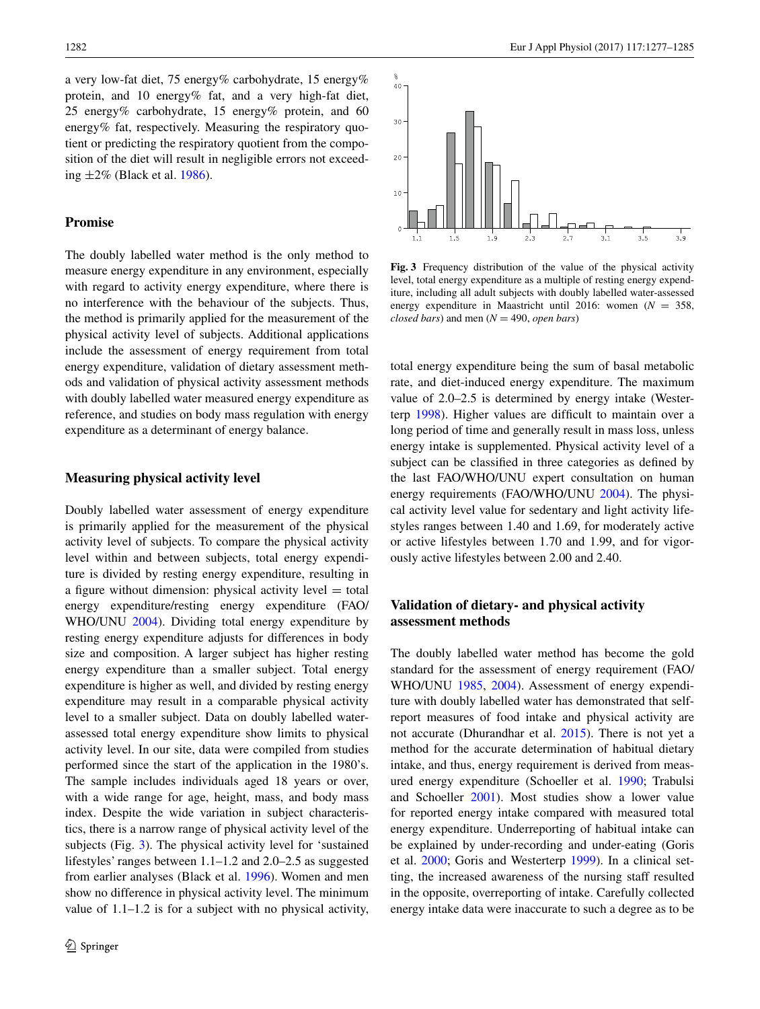a very low-fat diet, 75 energy% carbohydrate, 15 energy% protein, and 10 energy% fat, and a very high-fat diet, 25 energy% carbohydrate, 15 energy% protein, and 60 energy% fat, respectively. Measuring the respiratory quotient or predicting the respiratory quotient from the composition of the diet will result in negligible errors not exceeding  $\pm 2\%$  (Black et al. [1986](#page-7-22)).

# **Promise**

The doubly labelled water method is the only method to measure energy expenditure in any environment, especially with regard to activity energy expenditure, where there is no interference with the behaviour of the subjects. Thus, the method is primarily applied for the measurement of the physical activity level of subjects. Additional applications include the assessment of energy requirement from total energy expenditure, validation of dietary assessment methods and validation of physical activity assessment methods with doubly labelled water measured energy expenditure as reference, and studies on body mass regulation with energy expenditure as a determinant of energy balance.

### **Measuring physical activity level**

Doubly labelled water assessment of energy expenditure is primarily applied for the measurement of the physical activity level of subjects. To compare the physical activity level within and between subjects, total energy expenditure is divided by resting energy expenditure, resulting in a figure without dimension: physical activity level  $=$  total energy expenditure/resting energy expenditure (FAO/ WHO/UNU [2004\)](#page-7-12). Dividing total energy expenditure by resting energy expenditure adjusts for differences in body size and composition. A larger subject has higher resting energy expenditure than a smaller subject. Total energy expenditure is higher as well, and divided by resting energy expenditure may result in a comparable physical activity level to a smaller subject. Data on doubly labelled waterassessed total energy expenditure show limits to physical activity level. In our site, data were compiled from studies performed since the start of the application in the 1980's. The sample includes individuals aged 18 years or over, with a wide range for age, height, mass, and body mass index. Despite the wide variation in subject characteristics, there is a narrow range of physical activity level of the subjects (Fig. [3\)](#page-5-0). The physical activity level for 'sustained lifestyles' ranges between 1.1–1.2 and 2.0–2.5 as suggested from earlier analyses (Black et al. [1996\)](#page-7-23). Women and men show no difference in physical activity level. The minimum value of 1.1–1.2 is for a subject with no physical activity,



<span id="page-5-0"></span>**Fig. 3** Frequency distribution of the value of the physical activity level, total energy expenditure as a multiple of resting energy expenditure, including all adult subjects with doubly labelled water-assessed energy expenditure in Maastricht until 2016: women (*N* = 358, *closed bars*) and men  $(N = 490, open bars)$ 

total energy expenditure being the sum of basal metabolic rate, and diet-induced energy expenditure. The maximum value of 2.0–2.5 is determined by energy intake (Wester-terp [1998\)](#page-8-20). Higher values are difficult to maintain over a long period of time and generally result in mass loss, unless energy intake is supplemented. Physical activity level of a subject can be classifed in three categories as defned by the last FAO/WHO/UNU expert consultation on human energy requirements (FAO/WHO/UNU [2004](#page-7-12)). The physical activity level value for sedentary and light activity lifestyles ranges between 1.40 and 1.69, for moderately active or active lifestyles between 1.70 and 1.99, and for vigorously active lifestyles between 2.00 and 2.40.

# **Validation of dietary‑ and physical activity assessment methods**

The doubly labelled water method has become the gold standard for the assessment of energy requirement (FAO/ WHO/UNU [1985,](#page-7-11) [2004](#page-7-12)). Assessment of energy expenditure with doubly labelled water has demonstrated that selfreport measures of food intake and physical activity are not accurate (Dhurandhar et al. [2015\)](#page-7-24). There is not yet a method for the accurate determination of habitual dietary intake, and thus, energy requirement is derived from measured energy expenditure (Schoeller et al. [1990](#page-8-21); Trabulsi and Schoeller [2001\)](#page-8-22). Most studies show a lower value for reported energy intake compared with measured total energy expenditure. Underreporting of habitual intake can be explained by under-recording and under-eating (Goris et al. [2000](#page-7-25); Goris and Westerterp [1999](#page-7-26)). In a clinical setting, the increased awareness of the nursing staff resulted in the opposite, overreporting of intake. Carefully collected energy intake data were inaccurate to such a degree as to be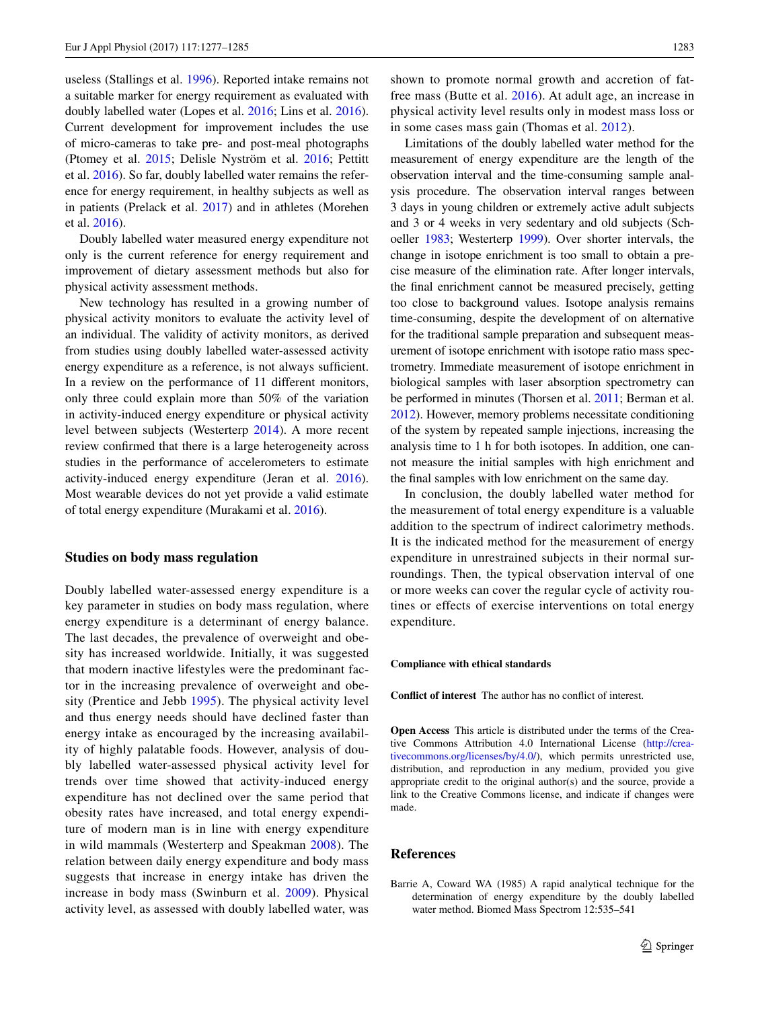useless (Stallings et al. [1996](#page-8-23)). Reported intake remains not a suitable marker for energy requirement as evaluated with doubly labelled water (Lopes et al. [2016](#page-7-27); Lins et al. [2016](#page-7-28)). Current development for improvement includes the use of micro-cameras to take pre- and post-meal photographs (Ptomey et al. [2015](#page-7-29); Delisle Nyström et al. [2016](#page-7-30); Pettitt et al. [2016\)](#page-7-31). So far, doubly labelled water remains the reference for energy requirement, in healthy subjects as well as in patients (Prelack et al. [2017\)](#page-7-32) and in athletes (Morehen et al. [2016\)](#page-7-33).

Doubly labelled water measured energy expenditure not only is the current reference for energy requirement and improvement of dietary assessment methods but also for physical activity assessment methods.

New technology has resulted in a growing number of physical activity monitors to evaluate the activity level of an individual. The validity of activity monitors, as derived from studies using doubly labelled water-assessed activity energy expenditure as a reference, is not always sufficient. In a review on the performance of 11 different monitors, only three could explain more than 50% of the variation in activity-induced energy expenditure or physical activity level between subjects (Westerterp [2014\)](#page-8-24). A more recent review confrmed that there is a large heterogeneity across studies in the performance of accelerometers to estimate activity-induced energy expenditure (Jeran et al. [2016](#page-7-34)). Most wearable devices do not yet provide a valid estimate of total energy expenditure (Murakami et al. [2016\)](#page-7-35).

# **Studies on body mass regulation**

Doubly labelled water-assessed energy expenditure is a key parameter in studies on body mass regulation, where energy expenditure is a determinant of energy balance. The last decades, the prevalence of overweight and obesity has increased worldwide. Initially, it was suggested that modern inactive lifestyles were the predominant factor in the increasing prevalence of overweight and obesity (Prentice and Jebb [1995](#page-7-36)). The physical activity level and thus energy needs should have declined faster than energy intake as encouraged by the increasing availability of highly palatable foods. However, analysis of doubly labelled water-assessed physical activity level for trends over time showed that activity-induced energy expenditure has not declined over the same period that obesity rates have increased, and total energy expenditure of modern man is in line with energy expenditure in wild mammals (Westerterp and Speakman [2008\)](#page-8-25). The relation between daily energy expenditure and body mass suggests that increase in energy intake has driven the increase in body mass (Swinburn et al. [2009](#page-8-26)). Physical activity level, as assessed with doubly labelled water, was

shown to promote normal growth and accretion of fatfree mass (Butte et al. [2016\)](#page-7-37). At adult age, an increase in physical activity level results only in modest mass loss or in some cases mass gain (Thomas et al. [2012\)](#page-8-27).

Limitations of the doubly labelled water method for the measurement of energy expenditure are the length of the observation interval and the time-consuming sample analysis procedure. The observation interval ranges between 3 days in young children or extremely active adult subjects and 3 or 4 weeks in very sedentary and old subjects (Schoeller [1983;](#page-7-20) Westerterp [1999](#page-8-13)). Over shorter intervals, the change in isotope enrichment is too small to obtain a precise measure of the elimination rate. After longer intervals, the fnal enrichment cannot be measured precisely, getting too close to background values. Isotope analysis remains time-consuming, despite the development of on alternative for the traditional sample preparation and subsequent measurement of isotope enrichment with isotope ratio mass spectrometry. Immediate measurement of isotope enrichment in biological samples with laser absorption spectrometry can be performed in minutes (Thorsen et al. [2011;](#page-8-17) Berman et al. [2012\)](#page-7-19). However, memory problems necessitate conditioning of the system by repeated sample injections, increasing the analysis time to 1 h for both isotopes. In addition, one cannot measure the initial samples with high enrichment and the fnal samples with low enrichment on the same day.

In conclusion, the doubly labelled water method for the measurement of total energy expenditure is a valuable addition to the spectrum of indirect calorimetry methods. It is the indicated method for the measurement of energy expenditure in unrestrained subjects in their normal surroundings. Then, the typical observation interval of one or more weeks can cover the regular cycle of activity routines or effects of exercise interventions on total energy expenditure.

#### **Compliance with ethical standards**

**Confict of interest** The author has no confict of interest.

**Open Access** This article is distributed under the terms of the Creative Commons Attribution 4.0 International License ([http://crea](http://creativecommons.org/licenses/by/4.0/)[tivecommons.org/licenses/by/4.0/](http://creativecommons.org/licenses/by/4.0/)), which permits unrestricted use, distribution, and reproduction in any medium, provided you give appropriate credit to the original author(s) and the source, provide a link to the Creative Commons license, and indicate if changes were made.

# **References**

<span id="page-6-0"></span>Barrie A, Coward WA (1985) A rapid analytical technique for the determination of energy expenditure by the doubly labelled water method. Biomed Mass Spectrom 12:535–541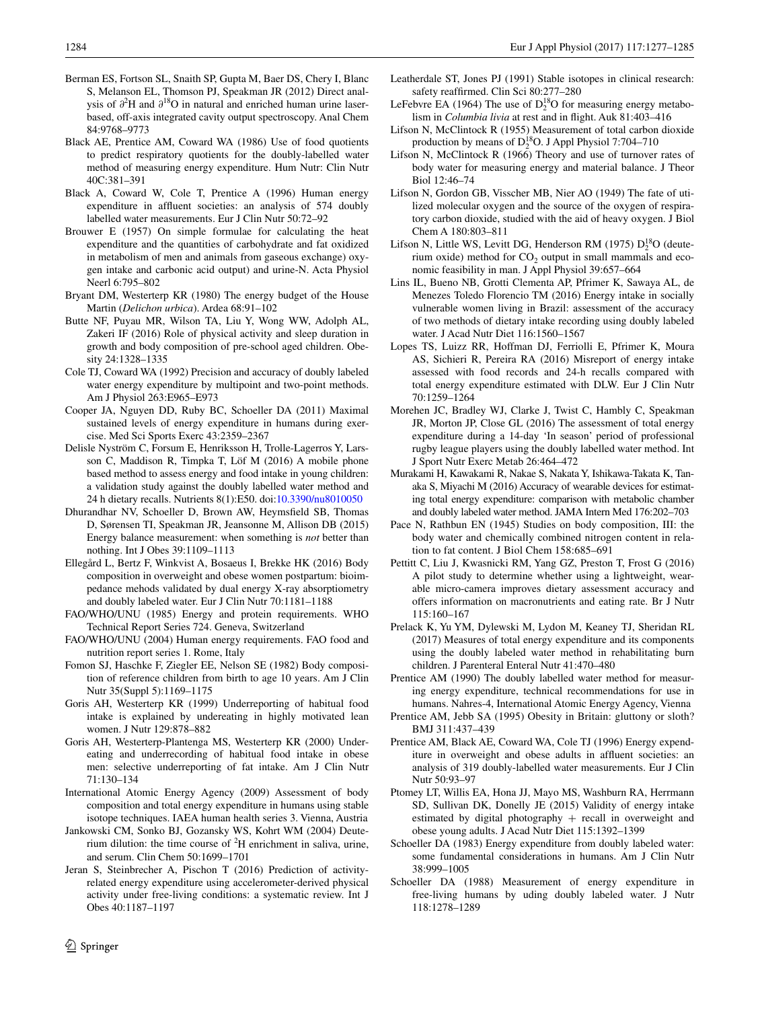- <span id="page-7-19"></span>Berman ES, Fortson SL, Snaith SP, Gupta M, Baer DS, Chery I, Blanc S, Melanson EL, Thomson PJ, Speakman JR (2012) Direct analysis of *∂*<sup>2</sup> H and *∂*18O in natural and enriched human urine laserbased, off-axis integrated cavity output spectroscopy. Anal Chem 84:9768–9773
- <span id="page-7-22"></span>Black AE, Prentice AM, Coward WA (1986) Use of food quotients to predict respiratory quotients for the doubly-labelled water method of measuring energy expenditure. Hum Nutr: Clin Nutr 40C:381–391
- <span id="page-7-23"></span>Black A, Coward W, Cole T, Prentice A (1996) Human energy expenditure in affuent societies: an analysis of 574 doubly labelled water measurements. Eur J Clin Nutr 50:72–92
- <span id="page-7-21"></span>Brouwer E (1957) On simple formulae for calculating the heat expenditure and the quantities of carbohydrate and fat oxidized in metabolism of men and animals from gaseous exchange) oxygen intake and carbonic acid output) and urine-N. Acta Physiol Neerl 6:795–802
- <span id="page-7-7"></span>Bryant DM, Westerterp KR (1980) The energy budget of the House Martin (*Delichon urbica*). Ardea 68:91–102
- <span id="page-7-37"></span>Butte NF, Puyau MR, Wilson TA, Liu Y, Wong WW, Adolph AL, Zakeri IF (2016) Role of physical activity and sleep duration in growth and body composition of pre-school aged children. Obesity 24:1328–1335
- <span id="page-7-18"></span>Cole TJ, Coward WA (1992) Precision and accuracy of doubly labeled water energy expenditure by multipoint and two-point methods. Am J Physiol 263:E965–E973
- <span id="page-7-14"></span>Cooper JA, Nguyen DD, Ruby BC, Schoeller DA (2011) Maximal sustained levels of energy expenditure in humans during exercise. Med Sci Sports Exerc 43:2359–2367
- <span id="page-7-30"></span>Delisle Nyström C, Forsum E, Henriksson H, Trolle-Lagerros Y, Larsson C, Maddison R, Timpka T, Löf M (2016) A mobile phone based method to assess energy and food intake in young children: a validation study against the doubly labelled water method and 24 h dietary recalls. Nutrients 8(1):E50. doi:[10.3390/nu8010050](http://dx.doi.org/10.3390/nu8010050)
- <span id="page-7-24"></span>Dhurandhar NV, Schoeller D, Brown AW, Heymsfeld SB, Thomas D, Sørensen TI, Speakman JR, Jeansonne M, Allison DB (2015) Energy balance measurement: when something is *not* better than nothing. Int J Obes 39:1109–1113
- <span id="page-7-5"></span>Ellegård L, Bertz F, Winkvist A, Bosaeus I, Brekke HK (2016) Body composition in overweight and obese women postpartum: bioimpedance mehods validated by dual energy X-ray absorptiometry and doubly labeled water. Eur J Clin Nutr 70:1181–1188
- <span id="page-7-11"></span>FAO/WHO/UNU (1985) Energy and protein requirements. WHO Technical Report Series 724. Geneva, Switzerland
- <span id="page-7-12"></span>FAO/WHO/UNU (2004) Human energy requirements. FAO food and nutrition report series 1. Rome, Italy
- <span id="page-7-4"></span>Fomon SJ, Haschke F, Ziegler EE, Nelson SE (1982) Body composition of reference children from birth to age 10 years. Am J Clin Nutr 35(Suppl 5):1169–1175
- <span id="page-7-26"></span>Goris AH, Westerterp KR (1999) Underreporting of habitual food intake is explained by undereating in highly motivated lean women. J Nutr 129:878–882
- <span id="page-7-25"></span>Goris AH, Westerterp-Plantenga MS, Westerterp KR (2000) Undereating and underrecording of habitual food intake in obese men: selective underreporting of fat intake. Am J Clin Nutr 71:130–134
- <span id="page-7-15"></span>International Atomic Energy Agency (2009) Assessment of body composition and total energy expenditure in humans using stable isotope techniques. IAEA human health series 3. Vienna, Austria
- <span id="page-7-17"></span>Jankowski CM, Sonko BJ, Gozansky WS, Kohrt WM (2004) Deuterium dilution: the time course of  ${}^{2}H$  enrichment in saliva, urine, and serum. Clin Chem 50:1699–1701
- <span id="page-7-34"></span>Jeran S, Steinbrecher A, Pischon T (2016) Prediction of activityrelated energy expenditure using accelerometer-derived physical activity under free-living conditions: a systematic review. Int J Obes 40:1187–1197
- <span id="page-7-16"></span>Leatherdale ST, Jones PJ (1991) Stable isotopes in clinical research: safety reaffrmed. Clin Sci 80:277–280
- <span id="page-7-6"></span>LeFebvre EA (1964) The use of  $D_2^{18}O$  for measuring energy metabolism in *Columbia livia* at rest and in fight. Auk 81:403–416
- <span id="page-7-1"></span>Lifson N, McClintock R (1955) Measurement of total carbon dioxide production by means of  $D_2^{18}O$ . J Appl Physiol 7:704–710
- <span id="page-7-2"></span>Lifson N, McClintock R (1966) Theory and use of turnover rates of body water for measuring energy and material balance. J Theor Biol 12:46–74
- <span id="page-7-0"></span>Lifson N, Gordon GB, Visscher MB, Nier AO (1949) The fate of utilized molecular oxygen and the source of the oxygen of respiratory carbon dioxide, studied with the aid of heavy oxygen. J Biol Chem A 180:803–811
- <span id="page-7-8"></span>Lifson N, Little WS, Levitt DG, Henderson RM (1975)  $D_2^{18}O$  (deuterium oxide) method for  $CO<sub>2</sub>$  output in small mammals and economic feasibility in man. J Appl Physiol 39:657–664
- <span id="page-7-28"></span>Lins IL, Bueno NB, Grotti Clementa AP, Pfrimer K, Sawaya AL, de Menezes Toledo Florencio TM (2016) Energy intake in socially vulnerable women living in Brazil: assessment of the accuracy of two methods of dietary intake recording using doubly labeled water. J Acad Nutr Diet 116:1560–1567
- <span id="page-7-27"></span>Lopes TS, Luizz RR, Hoffman DJ, Ferriolli E, Pfrimer K, Moura AS, Sichieri R, Pereira RA (2016) Misreport of energy intake assessed with food records and 24-h recalls compared with total energy expenditure estimated with DLW. Eur J Clin Nutr 70:1259–1264
- <span id="page-7-33"></span>Morehen JC, Bradley WJ, Clarke J, Twist C, Hambly C, Speakman JR, Morton JP, Close GL (2016) The assessment of total energy expenditure during a 14-day 'In season' period of professional rugby league players using the doubly labelled water method. Int J Sport Nutr Exerc Metab 26:464–472
- <span id="page-7-35"></span>Murakami H, Kawakami R, Nakae S, Nakata Y, Ishikawa-Takata K, Tanaka S, Miyachi M (2016) Accuracy of wearable devices for estimating total energy expenditure: comparison with metabolic chamber and doubly labeled water method. JAMA Intern Med 176:202–703
- <span id="page-7-3"></span>Pace N, Rathbun EN (1945) Studies on body composition, III: the body water and chemically combined nitrogen content in relation to fat content. J Biol Chem 158:685–691
- <span id="page-7-31"></span>Pettitt C, Liu J, Kwasnicki RM, Yang GZ, Preston T, Frost G (2016) A pilot study to determine whether using a lightweight, wearable micro-camera improves dietary assessment accuracy and offers information on macronutrients and eating rate. Br J Nutr 115:160–167
- <span id="page-7-32"></span>Prelack K, Yu YM, Dylewski M, Lydon M, Keaney TJ, Sheridan RL (2017) Measures of total energy expenditure and its components using the doubly labeled water method in rehabilitating burn children. J Parenteral Enteral Nutr 41:470–480
- <span id="page-7-10"></span>Prentice AM (1990) The doubly labelled water method for measuring energy expenditure, technical recommendations for use in humans. Nahres-4, International Atomic Energy Agency, Vienna
- <span id="page-7-36"></span>Prentice AM, Jebb SA (1995) Obesity in Britain: gluttony or sloth? BMJ 311:437–439
- <span id="page-7-13"></span>Prentice AM, Black AE, Coward WA, Cole TJ (1996) Energy expenditure in overweight and obese adults in affuent societies: an analysis of 319 doubly-labelled water measurements. Eur J Clin Nutr 50:93–97
- <span id="page-7-29"></span>Ptomey LT, Willis EA, Hona JJ, Mayo MS, Washburn RA, Herrmann SD, Sullivan DK, Donelly JE (2015) Validity of energy intake estimated by digital photography  $+$  recall in overweight and obese young adults. J Acad Nutr Diet 115:1392–1399
- <span id="page-7-20"></span>Schoeller DA (1983) Energy expenditure from doubly labeled water: some fundamental considerations in humans. Am J Clin Nutr 38:999–1005
- <span id="page-7-9"></span>Schoeller DA (1988) Measurement of energy expenditure in free-living humans by uding doubly labeled water. J Nutr 118:1278–1289